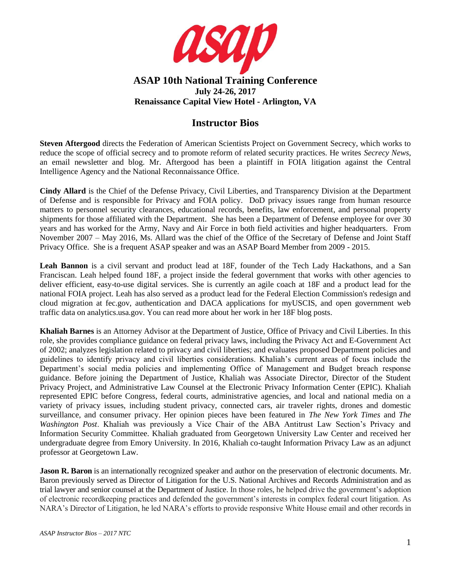

## **ASAP 10th National Training Conference July 24-26, 2017 Renaissance Capital View Hotel - Arlington, VA**

## **Instructor Bios**

**Steven Aftergood** directs the Federation of American Scientists Project on Government Secrecy, which works to reduce the scope of official secrecy and to promote reform of related security practices. He writes *Secrecy News*, an email newsletter and blog. Mr. Aftergood has been a plaintiff in FOIA litigation against the Central Intelligence Agency and the National Reconnaissance Office.

**Cindy Allard** is the Chief of the Defense Privacy, Civil Liberties, and Transparency Division at the Department of Defense and is responsible for Privacy and FOIA policy. DoD privacy issues range from human resource matters to personnel security clearances, educational records, benefits, law enforcement, and personal property shipments for those affiliated with the Department. She has been a Department of Defense employee for over 30 years and has worked for the Army, Navy and Air Force in both field activities and higher headquarters. From November 2007 – May 2016, Ms. Allard was the chief of the Office of the Secretary of Defense and Joint Staff Privacy Office. She is a frequent ASAP speaker and was an ASAP Board Member from 2009 - 2015.

**Leah Bannon** is a civil servant and product lead at 18F, founder of the Tech Lady Hackathons, and a San Franciscan. Leah helped found 18F, a project inside the federal government that works with other agencies to deliver efficient, easy-to-use digital services. She is currently an agile coach at 18F and a product lead for the national FOIA project. Leah has also served as a product lead for the Federal Election Commission's redesign and cloud migration at fec.gov, authentication and DACA applications for myUSCIS, and open government web traffic data on analytics.usa.gov. You can read more about her work in her 18F blog posts.

**Khaliah Barnes** is an Attorney Advisor at the Department of Justice, Office of Privacy and Civil Liberties. In this role, she provides compliance guidance on federal privacy laws, including the Privacy Act and E-Government Act of 2002; analyzes legislation related to privacy and civil liberties; and evaluates proposed Department policies and guidelines to identify privacy and civil liberties considerations. Khaliah's current areas of focus include the Department's social media policies and implementing Office of Management and Budget breach response guidance. Before joining the Department of Justice, Khaliah was Associate Director, Director of the Student Privacy Project, and Administrative Law Counsel at the Electronic Privacy Information Center (EPIC). Khaliah represented EPIC before Congress, federal courts, administrative agencies, and local and national media on a variety of privacy issues, including student privacy, connected cars, air traveler rights, drones and domestic surveillance, and consumer privacy. Her opinion pieces have been featured in *The New York Times* and *The Washington Post*. Khaliah was previously a Vice Chair of the ABA Antitrust Law Section's Privacy and Information Security Committee. Khaliah graduated from Georgetown University Law Center and received her undergraduate degree from Emory University. In 2016, Khaliah co-taught Information Privacy Law as an adjunct professor at Georgetown Law.

**Jason R. Baron** is an internationally recognized speaker and author on the preservation of electronic documents. Mr. Baron previously served as Director of Litigation for the U.S. National Archives and Records Administration and as trial lawyer and senior counsel at the Department of Justice. In those roles, he helped drive the government's adoption of electronic recordkeeping practices and defended the government's interests in complex federal court litigation. As NARA's Director of Litigation, he led NARA's efforts to provide responsive White House email and other records in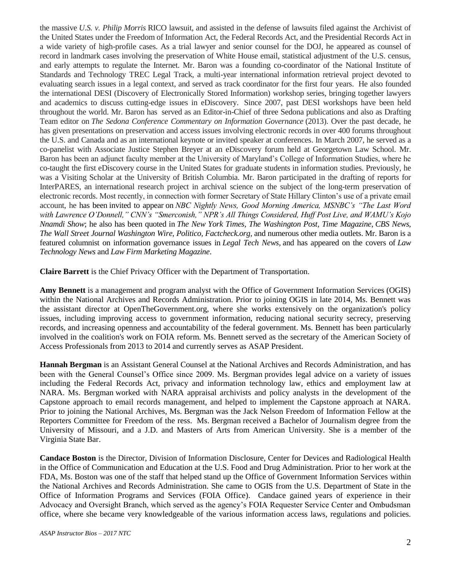the massive *U.S. v. Philip Morris* RICO lawsuit, and assisted in the defense of lawsuits filed against the Archivist of the United States under the Freedom of Information Act, the Federal Records Act, and the Presidential Records Act in a wide variety of high-profile cases. As a trial lawyer and senior counsel for the DOJ, he appeared as counsel of record in landmark cases involving the preservation of White House email, statistical adjustment of the U.S. census, and early attempts to regulate the Internet. Mr. Baron was a founding co-coordinator of the National Institute of Standards and Technology TREC Legal Track, a multi-year international information retrieval project devoted to evaluating search issues in a legal context, and served as track coordinator for the first four years. He also founded the international DESI (Discovery of Electronically Stored Information) workshop series, bringing together lawyers and academics to discuss cutting-edge issues in eDiscovery. Since 2007, past DESI workshops have been held throughout the world. Mr. Baron has served as an Editor-in-Chief of three Sedona publications and also as Drafting Team editor on *The Sedona Conference Commentary on Information Governance* (2013). Over the past decade, he has given presentations on preservation and access issues involving electronic records in over 400 forums throughout the U.S. and Canada and as an international keynote or invited speaker at conferences. In March 2007, he served as a co-panelist with Associate Justice Stephen Breyer at an eDiscovery forum held at Georgetown Law School. Mr. Baron has been an adjunct faculty member at the University of Maryland's College of Information Studies, where he co-taught the first eDiscovery course in the United States for graduate students in information studies. Previously, he was a Visiting Scholar at the University of British Columbia. Mr. Baron participated in the drafting of reports for InterPARES, an international research project in archival science on the subject of the long-term preservation of electronic records. Most recently, in connection with former Secretary of State Hillary Clinton's use of a private email account, he has been [invited to appear](http://www.drinkerbiddle.com/news/in-the-news/2015/jason-r-baron-quoted-in-new-york-times-time-magazine-appears-on-nbc-nightly-news-cnn-msnbc-npr-and-more) on *NBC Nightly News, Good Morning America, MSNBC's "The Last Word with Lawrence O'Donnell," CNN's "Smerconish," NPR's All Things Considered, Huff Post Live, and WAMU's Kojo Nnamdi Show*; he also has been quoted in *The New York Times, The Washington Post, Time Magazine*, *CBS News, The Wall Street Journal Washington Wire, Politico, Factcheck.org,* and numerous other media outlets. Mr. Baron is a featured columnist on information governance issues in *Legal Tech News,* and has appeared on the covers of *Law Technology News* and *[Law Firm Marketing Magazine](http://www.drinkerbiddle.com/Templates/media/files/Files/LFM-JasonRBaron-Article.pdf)*.

**Claire Barrett** is the Chief Privacy Officer with the Department of Transportation.

**Amy Bennett** is a management and program analyst with the Office of Government Information Services (OGIS) within the National Archives and Records Administration. Prior to joining OGIS in late 2014, Ms. Bennett was the assistant director at OpenTheGovernment.org, where she works extensively on the organization's policy issues, including improving access to government information, reducing national security secrecy, preserving records, and increasing openness and accountability of the federal government. Ms. Bennett has been particularly involved in the coalition's work on FOIA reform. Ms. Bennett served as the secretary of the American Society of Access Professionals from 2013 to 2014 and currently serves as ASAP President.

**Hannah Bergman** is an Assistant General Counsel at the National Archives and Records Administration, and has been with the General Counsel's Office since 2009. Ms. Bergman provides legal advice on a variety of issues including the Federal Records Act, privacy and information technology law, ethics and employment law at NARA. Ms. Bergman worked with NARA appraisal archivists and policy analysts in the development of the Capstone approach to email records management, and helped to implement the Capstone approach at NARA. Prior to joining the National Archives, Ms. Bergman was the Jack Nelson Freedom of Information Fellow at the Reporters Committee for Freedom of the ress. Ms. Bergman received a Bachelor of Journalism degree from the University of Missouri, and a J.D. and Masters of Arts from American University. She is a member of the Virginia State Bar.

**Candace Boston** is the Director, Division of Information Disclosure, Center for Devices and Radiological Health in the Office of Communication and Education at the U.S. Food and Drug Administration. Prior to her work at the FDA, Ms. Boston was one of the staff that helped stand up the Office of Government Information Services within the National Archives and Records Administration. She came to OGIS from the U.S. Department of State in the Office of Information Programs and Services (FOIA Office). Candace gained years of experience in their Advocacy and Oversight Branch, which served as the agency's FOIA Requester Service Center and Ombudsman office, where she became very knowledgeable of the various information access laws, regulations and policies.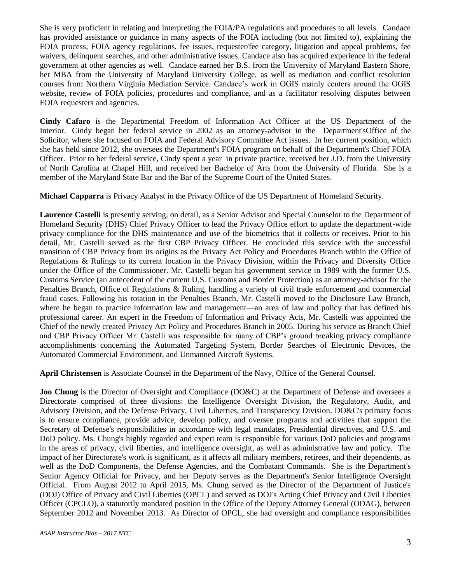She is very proficient in relating and interpreting the FOIA/PA regulations and procedures to all levels. Candace has provided assistance or guidance in many aspects of the FOIA including (but not limited to), explaining the FOIA process, FOIA agency regulations, fee issues, requester/fee category, litigation and appeal problems, fee waivers, delinquent searches, and other administrative issues. Candace also has acquired experience in the federal government at other agencies as well. Candace earned her B.S. from the University of Maryland Eastern Shore, her MBA from the University of Maryland University College, as well as mediation and conflict resolution courses from Northern Virginia Mediation Service. Candace's work in OGIS mainly centers around the OGIS website, review of FOIA policies, procedures and compliance, and as a facilitator resolving disputes between FOIA requesters and agencies.

**Cindy Cafaro** is the Departmental Freedom of Information Act Officer at the US Department of the Interior. Cindy began her federal service in 2002 as an attorney-advisor in the Department'sOffice of the Solicitor, where she focused on FOIA and Federal Advisory Committee Act issues. In her current position, which she has held since 2012, she oversees the Department's FOIA program on behalf of the Department's Chief FOIA Officer. Prior to her federal service, Cindy spent a year in private practice, received her J.D. from the University of North Carolina at Chapel Hill, and received her Bachelor of Arts from the University of Florida. She is a member of the Maryland State Bar and the Bar of the Supreme Court of the United States.

**Michael Capparra** is Privacy Analyst in the Privacy Office of the US Department of Homeland Security.

**Laurence Castelli** is presently serving, on detail, as a Senior Advisor and Special Counselor to the Department of Homeland Security (DHS) Chief Privacy Officer to lead the Privacy Office effort to update the department-wide privacy compliance for the DHS maintenance and use of the biometrics that it collects or receives. Prior to his detail, Mr. Castelli served as the first CBP Privacy Officer. He concluded this service with the successful transition of CBP Privacy from its origins as the Privacy Act Policy and Procedures Branch within the Office of Regulations & Rulings to its current location in the Privacy Division, within the Privacy and Diversity Office under the Office of the Commissioner. Mr. Castelli began his government service in 1989 with the former U.S. Customs Service (an antecedent of the current U.S. Customs and Border Protection) as an attorney-advisor for the Penalties Branch, Office of Regulations & Ruling, handling a variety of civil trade enforcement and commercial fraud cases. Following his rotation in the Penalties Branch, Mr. Castelli moved to the Disclosure Law Branch, where he began to practice information law and management—an area of law and policy that has defined his professional career. An expert in the Freedom of Information and Privacy Acts, Mr. Castelli was appointed the Chief of the newly created Privacy Act Policy and Procedures Branch in 2005. During his service as Branch Chief and CBP Privacy Officer Mr. Castelli was responsible for many of CBP's ground breaking privacy compliance accomplishments concerning the Automated Targeting System, Border Searches of Electronic Devices, the Automated Commercial Environment, and Unmanned Aircraft Systems.

**April Christensen** is Associate Counsel in the Department of the Navy, Office of the General Counsel.

**Joo Chung** is the Director of Oversight and Compliance (DO&C) at the Department of Defense and oversees a Directorate comprised of three divisions: the Intelligence Oversight Division, the Regulatory, Audit, and Advisory Division, and the Defense Privacy, Civil Liberties, and Transparency Division. DO&C's primary focus is to ensure compliance, provide advice, develop policy, and oversee programs and activities that support the Secretary of Defense's responsibilities in accordance with legal mandates, Presidential directives, and U.S. and DoD policy. Ms. Chung's highly regarded and expert team is responsible for various DoD policies and programs in the areas of privacy, civil liberties, and intelligence oversight, as well as administrative law and policy. The impact of her Directorate's work is significant, as it affects all military members, retirees, and their dependents, as well as the DoD Components, the Defense Agencies, and the Combatant Commands. She is the Department's Senior Agency Official for Privacy, and her Deputy serves as the Department's Senior Intelligence Oversight Official. From August 2012 to April 2015, Ms. Chung served as the Director of the Department of Justice's (DOJ) Office of Privacy and Civil Liberties (OPCL) and served as DOJ's Acting Chief Privacy and Civil Liberties Officer (CPCLO), a statutorily mandated position in the Office of the Deputy Attorney General (ODAG), between September 2012 and November 2013. As Director of OPCL, she had oversight and compliance responsibilities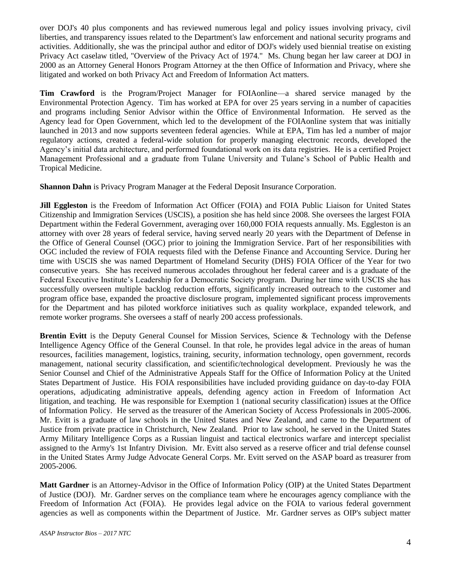over DOJ's 40 plus components and has reviewed numerous legal and policy issues involving privacy, civil liberties, and transparency issues related to the Department's law enforcement and national security programs and activities. Additionally, she was the principal author and editor of DOJ's widely used biennial treatise on existing Privacy Act caselaw titled, "Overview of the Privacy Act of 1974." Ms. Chung began her law career at DOJ in 2000 as an Attorney General Honors Program Attorney at the then Office of Information and Privacy, where she litigated and worked on both Privacy Act and Freedom of Information Act matters.

**Tim Crawford** is the Program/Project Manager for FOIAonline—a shared service managed by the Environmental Protection Agency. Tim has worked at EPA for over 25 years serving in a number of capacities and programs including Senior Advisor within the Office of Environmental Information. He served as the Agency lead for Open Government, which led to the development of the FOIAonline system that was initially launched in 2013 and now supports seventeen federal agencies. While at EPA, Tim has led a number of major regulatory actions, created a federal-wide solution for properly managing electronic records, developed the Agency's initial data architecture, and performed foundational work on its data registries. He is a certified Project Management Professional and a graduate from Tulane University and Tulane's School of Public Health and Tropical Medicine.

**Shannon Dahn** is Privacy Program Manager at the Federal Deposit Insurance Corporation.

**Jill Eggleston** is the Freedom of Information Act Officer (FOIA) and FOIA Public Liaison for United States Citizenship and Immigration Services (USCIS), a position she has held since 2008. She oversees the largest FOIA Department within the Federal Government, averaging over 160,000 FOIA requests annually. Ms. Eggleston is an attorney with over 28 years of federal service, having served nearly 20 years with the Department of Defense in the Office of General Counsel (OGC) prior to joining the Immigration Service. Part of her responsibilities with OGC included the review of FOIA requests filed with the Defense Finance and Accounting Service. During her time with USCIS she was named Department of Homeland Security (DHS) FOIA Officer of the Year for two consecutive years. She has received numerous accolades throughout her federal career and is a graduate of the Federal Executive Institute's Leadership for a Democratic Society program. During her time with USCIS she has successfully overseen multiple backlog reduction efforts, significantly increased outreach to the customer and program office base, expanded the proactive disclosure program, implemented significant process improvements for the Department and has piloted workforce initiatives such as quality workplace, expanded telework, and remote worker programs. She oversees a staff of nearly 200 access professionals.

**Brentin Evitt** is the Deputy General Counsel for Mission Services, Science & Technology with the Defense Intelligence Agency Office of the General Counsel. In that role, he provides legal advice in the areas of human resources, facilities management, logistics, training, security, information technology, open government, records management, national security classification, and scientific/technological development. Previously he was the Senior Counsel and Chief of the Administrative Appeals Staff for the Office of Information Policy at the United States Department of Justice. His FOIA responsibilities have included providing guidance on day-to-day FOIA operations, adjudicating administrative appeals, defending agency action in Freedom of Information Act litigation, and teaching. He was responsible for Exemption 1 (national security classification) issues at the Office of Information Policy. He served as the treasurer of the American Society of Access Professionals in 2005-2006. Mr. Evitt is a graduate of law schools in the United States and New Zealand, and came to the Department of Justice from private practice in Christchurch, New Zealand. Prior to law school, he served in the United States Army Military Intelligence Corps as a Russian linguist and tactical electronics warfare and intercept specialist assigned to the Army's 1st Infantry Division. Mr. Evitt also served as a reserve officer and trial defense counsel in the United States Army Judge Advocate General Corps. Mr. Evitt served on the ASAP board as treasurer from 2005-2006.

**Matt Gardner** is an Attorney-Advisor in the Office of Information Policy (OIP) at the United States Department of Justice (DOJ). Mr. Gardner serves on the compliance team where he encourages agency compliance with the Freedom of Information Act (FOIA). He provides legal advice on the FOIA to various federal government agencies as well as components within the Department of Justice. Mr. Gardner serves as OIP's subject matter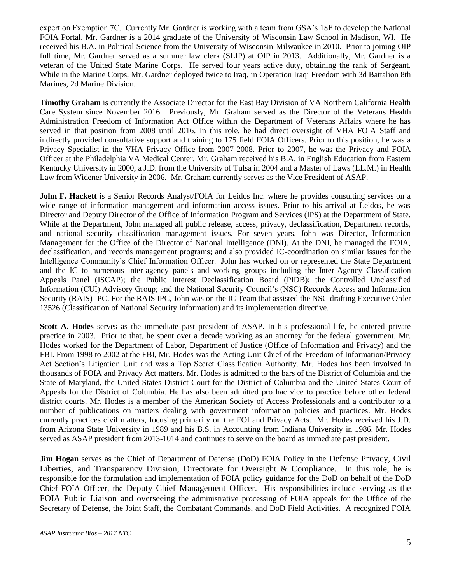expert on Exemption 7C. Currently Mr. Gardner is working with a team from GSA's 18F to develop the National FOIA Portal. Mr. Gardner is a 2014 graduate of the University of Wisconsin Law School in Madison, WI. He received his B.A. in Political Science from the University of Wisconsin-Milwaukee in 2010. Prior to joining OIP full time, Mr. Gardner served as a summer law clerk (SLIP) at OIP in 2013. Additionally, Mr. Gardner is a veteran of the United State Marine Corps. He served four years active duty, obtaining the rank of Sergeant. While in the Marine Corps, Mr. Gardner deployed twice to Iraq, in Operation Iraqi Freedom with 3d Battalion 8th Marines, 2d Marine Division.

**Timothy Graham** is currently the Associate Director for the East Bay Division of VA Northern California Health Care System since November 2016. Previously, Mr. Graham served as the Director of the Veterans Health Administration Freedom of Information Act Office within the Department of Veterans Affairs where he has served in that position from 2008 until 2016. In this role, he had direct oversight of VHA FOIA Staff and indirectly provided consultative support and training to 175 field FOIA Officers. Prior to this position, he was a Privacy Specialist in the VHA Privacy Office from 2007-2008. Prior to 2007, he was the Privacy and FOIA Officer at the Philadelphia VA Medical Center. Mr. Graham received his B.A. in English Education from Eastern Kentucky University in 2000, a J.D. from the University of Tulsa in 2004 and a Master of Laws (LL.M.) in Health Law from Widener University in 2006. Mr. Graham currently serves as the Vice President of ASAP.

**John F. Hackett** is a Senior Records Analyst/FOIA for Leidos Inc. where he provides consulting services on a wide range of information management and information access issues. Prior to his arrival at Leidos, he was Director and Deputy Director of the Office of Information Program and Services (IPS) at the Department of State. While at the Department, John managed all public release, access, privacy, declassification, Department records, and national security classification management issues. For seven years, John was Director, Information Management for the Office of the Director of National Intelligence (DNI). At the DNI, he managed the FOIA, declassification, and records management programs; and also provided IC-coordination on similar issues for the Intelligence Community's Chief Information Officer. John has worked on or represented the State Department and the IC to numerous inter-agency panels and working groups including the Inter-Agency Classification Appeals Panel (ISCAP); the Public Interest Declassification Board (PIDB); the Controlled Unclassified Information (CUI) Advisory Group; and the National Security Council's (NSC) Records Access and Information Security (RAIS) IPC. For the RAIS IPC, John was on the IC Team that assisted the NSC drafting Executive Order 13526 (Classification of National Security Information) and its implementation directive.

**Scott A. Hodes** serves as the immediate past president of ASAP. In his professional life, he entered private practice in 2003. Prior to that, he spent over a decade working as an attorney for the federal government. Mr. Hodes worked for the Department of Labor, Department of Justice (Office of Information and Privacy) and the FBI. From 1998 to 2002 at the FBI, Mr. Hodes was the Acting Unit Chief of the Freedom of Information/Privacy Act Section's Litigation Unit and was a Top Secret Classification Authority. Mr. Hodes has been involved in thousands of FOIA and Privacy Act matters. Mr. Hodes is admitted to the bars of the District of Columbia and the State of Maryland, the United States District Court for the District of Columbia and the United States Court of Appeals for the District of Columbia. He has also been admitted pro hac vice to practice before other federal district courts. Mr. Hodes is a member of the American Society of Access Professionals and a contributor to a number of publications on matters dealing with government information policies and practices. Mr. Hodes currently practices civil matters, focusing primarily on the FOI and Privacy Acts. Mr. Hodes received his J.D. from Arizona State University in 1989 and his B.S. in Accounting from Indiana University in 1986. Mr. Hodes served as ASAP president from 2013-1014 and continues to serve on the board as immediate past president.

**Jim Hogan** serves as the Chief of Department of Defense (DoD) FOIA Policy in the Defense Privacy, Civil Liberties, and Transparency Division, Directorate for Oversight & Compliance. In this role, he is responsible for the formulation and implementation of FOIA policy guidance for the DoD on behalf of the DoD Chief FOIA Officer, the Deputy Chief Management Officer. His responsibilities include serving as the FOIA Public Liaison and overseeing the administrative processing of FOIA appeals for the Office of the Secretary of Defense, the Joint Staff, the Combatant Commands, and DoD Field Activities. A recognized FOIA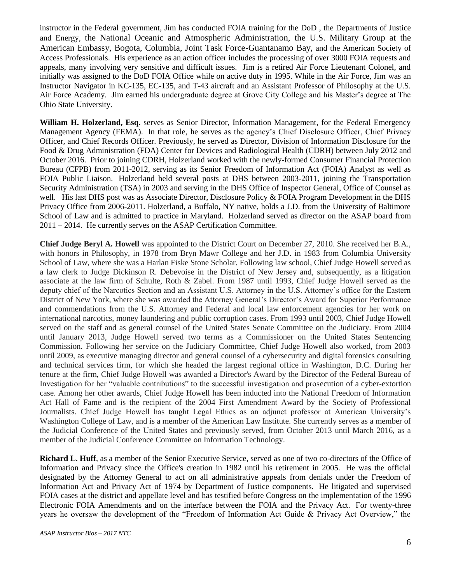instructor in the Federal government, Jim has conducted FOIA training for the DoD , the Departments of Justice and Energy, the National Oceanic and Atmospheric Administration, the U.S. Military Group at the American Embassy, Bogota, Columbia, Joint Task Force-Guantanamo Bay, and the American Society of Access Professionals. His experience as an action officer includes the processing of over 3000 FOIA requests and appeals, many involving very sensitive and difficult issues. Jim is a retired Air Force Lieutenant Colonel, and initially was assigned to the DoD FOIA Office while on active duty in 1995. While in the Air Force, Jim was an Instructor Navigator in KC-135, EC-135, and T-43 aircraft and an Assistant Professor of Philosophy at the U.S. Air Force Academy. Jim earned his undergraduate degree at Grove City College and his Master's degree at The Ohio State University.

**William H. Holzerland, Esq.** serves as Senior Director, Information Management, for the Federal Emergency Management Agency (FEMA). In that role, he serves as the agency's Chief Disclosure Officer, Chief Privacy Officer, and Chief Records Officer. Previously, he served as Director, Division of Information Disclosure for the Food & Drug Administration (FDA) Center for Devices and Radiological Health (CDRH) between July 2012 and October 2016. Prior to joining CDRH, Holzerland worked with the newly-formed Consumer Financial Protection Bureau (CFPB) from 2011-2012, serving as its Senior Freedom of Information Act (FOIA) Analyst as well as FOIA Public Liaison. Holzerland held several posts at DHS between 2003-2011, joining the Transportation Security Administration (TSA) in 2003 and serving in the DHS Office of Inspector General, Office of Counsel as well. His last DHS post was as Associate Director, Disclosure Policy & FOIA Program Development in the DHS Privacy Office from 2006-2011. Holzerland, a Buffalo, NY native, holds a J.D. from the University of Baltimore School of Law and is admitted to practice in Maryland. Holzerland served as director on the ASAP board from 2011 – 2014. He currently serves on the ASAP Certification Committee.

**Chief Judge Beryl A. Howell** was appointed to the District Court on December 27, 2010. She received her B.A., with honors in Philosophy, in 1978 from Bryn Mawr College and her J.D. in 1983 from Columbia University School of Law, where she was a Harlan Fiske Stone Scholar. Following law school, Chief Judge Howell served as a law clerk to Judge Dickinson R. Debevoise in the District of New Jersey and, subsequently, as a litigation associate at the law firm of Schulte, Roth & Zabel. From 1987 until 1993, Chief Judge Howell served as the deputy chief of the Narcotics Section and an Assistant U.S. Attorney in the U.S. Attorney's office for the Eastern District of New York, where she was awarded the Attorney General's Director's Award for Superior Performance and commendations from the U.S. Attorney and Federal and local law enforcement agencies for her work on international narcotics, money laundering and public corruption cases. From 1993 until 2003, Chief Judge Howell served on the staff and as general counsel of the United States Senate Committee on the Judiciary. From 2004 until January 2013, Judge Howell served two terms as a Commissioner on the United States Sentencing Commission. Following her service on the Judiciary Committee, Chief Judge Howell also worked, from 2003 until 2009, as executive managing director and general counsel of a cybersecurity and digital forensics consulting and technical services firm, for which she headed the largest regional office in Washington, D.C. During her tenure at the firm, Chief Judge Howell was awarded a Director's Award by the Director of the Federal Bureau of Investigation for her "valuable contributions" to the successful investigation and prosecution of a cyber-extortion case. Among her other awards, Chief Judge Howell has been inducted into the National Freedom of Information Act Hall of Fame and is the recipient of the 2004 First Amendment Award by the Society of Professional Journalists. Chief Judge Howell has taught Legal Ethics as an adjunct professor at American University's Washington College of Law, and is a member of the American Law Institute. She currently serves as a member of the Judicial Conference of the United States and previously served, from October 2013 until March 2016, as a member of the Judicial Conference Committee on Information Technology.

**Richard L. Huff**, as a member of the Senior Executive Service, served as one of two co-directors of the Office of Information and Privacy since the Office's creation in 1982 until his retirement in 2005. He was the official designated by the Attorney General to act on all administrative appeals from denials under the Freedom of Information Act and Privacy Act of 1974 by Department of Justice components. He litigated and supervised FOIA cases at the district and appellate level and has testified before Congress on the implementation of the 1996 Electronic FOIA Amendments and on the interface between the FOIA and the Privacy Act. For twenty-three years he oversaw the development of the "Freedom of Information Act Guide & Privacy Act Overview," the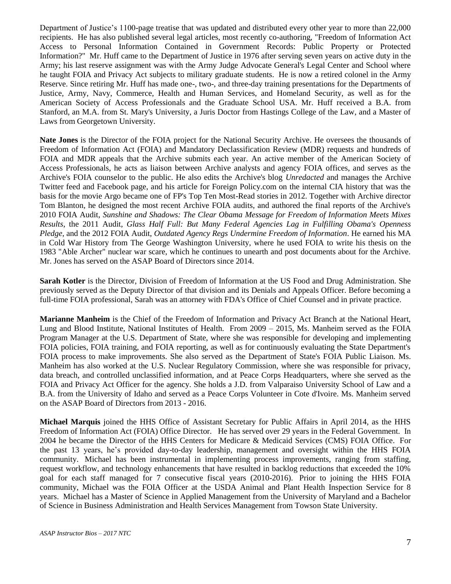Department of Justice's 1100-page treatise that was updated and distributed every other year to more than 22,000 recipients. He has also published several legal articles, most recently co-authoring, "Freedom of Information Act Access to Personal Information Contained in Government Records: Public Property or Protected Information?" Mr. Huff came to the Department of Justice in 1976 after serving seven years on active duty in the Army; his last reserve assignment was with the Army Judge Advocate General's Legal Center and School where he taught FOIA and Privacy Act subjects to military graduate students. He is now a retired colonel in the Army Reserve. Since retiring Mr. Huff has made one-, two-, and three-day training presentations for the Departments of Justice, Army, Navy, Commerce, Health and Human Services, and Homeland Security, as well as for the American Society of Access Professionals and the Graduate School USA. Mr. Huff received a B.A. from Stanford, an M.A. from St. Mary's University, a Juris Doctor from Hastings College of the Law, and a Master of Laws from Georgetown University.

**Nate Jones** is the Director of the FOIA project for the National Security Archive. He oversees the thousands of Freedom of Information Act (FOIA) and Mandatory Declassification Review (MDR) requests and hundreds of FOIA and MDR appeals that the Archive submits each year. An active member of the American Society of Access Professionals, he acts as liaison between Archive analysts and agency FOIA offices, and serves as the Archive's FOIA counselor to the public. He also edits the Archive's blog *Unredacted* and manages the Archive Twitter feed and Facebook page, and his article for Foreign Policy.com on the internal CIA history that was the basis for the movie Argo became one of FP's Top Ten Most-Read stories in 2012. Together with Archive director Tom Blanton, he designed the most recent Archive FOIA audits, and authored the final reports of the Archive's 2010 FOIA Audit, *Sunshine and Shadows: The Clear Obama Message for Freedom of Information Meets Mixes Results*, the 2011 Audit, *Glass Half Full: But Many Federal Agencies Lag in Fulfilling Obama's Openness Pledge*, and the 2012 FOIA Audit, *Outdated Agency Regs Undermine Freedom of Information*. He earned his MA in Cold War History from The George Washington University, where he used FOIA to write his thesis on the 1983 "Able Archer" nuclear war scare, which he continues to unearth and post documents about for the Archive. Mr. Jones has served on the ASAP Board of Directors since 2014.

**Sarah Kotler** is the Director, Division of Freedom of Information at the US Food and Drug Administration. She previously served as the Deputy Director of that division and its Denials and Appeals Officer. Before becoming a full-time FOIA professional, Sarah was an attorney with FDA's Office of Chief Counsel and in private practice.

**Marianne Manheim** is the Chief of the Freedom of Information and Privacy Act Branch at the National Heart, Lung and Blood Institute, National Institutes of Health. From 2009 – 2015, Ms. Manheim served as the FOIA Program Manager at the U.S. Department of State, where she was responsible for developing and implementing FOIA policies, FOIA training, and FOIA reporting, as well as for continuously evaluating the State Department's FOIA process to make improvements. She also served as the Department of State's FOIA Public Liaison. Ms. Manheim has also worked at the U.S. Nuclear Regulatory Commission, where she was responsible for privacy, data breach, and controlled unclassified information, and at Peace Corps Headquarters, where she served as the FOIA and Privacy Act Officer for the agency. She holds a J.D. from Valparaiso University School of Law and a B.A. from the University of Idaho and served as a Peace Corps Volunteer in Cote d'Ivoire. Ms. Manheim served on the ASAP Board of Directors from 2013 - 2016.

**Michael Marquis** joined the HHS Office of Assistant Secretary for Public Affairs in April 2014, as the HHS Freedom of Information Act (FOIA) Office Director. He has served over 29 years in the Federal Government. In 2004 he became the Director of the HHS Centers for Medicare & Medicaid Services (CMS) FOIA Office. For the past 13 years, he's provided day-to-day leadership, management and oversight within the HHS FOIA community. Michael has been instrumental in implementing process improvements, ranging from staffing, request workflow, and technology enhancements that have resulted in backlog reductions that exceeded the 10% goal for each staff managed for 7 consecutive fiscal years (2010-2016). Prior to joining the HHS FOIA community, Michael was the FOIA Officer at the USDA Animal and Plant Health Inspection Service for 8 years. Michael has a Master of Science in Applied Management from the University of Maryland and a Bachelor of Science in Business Administration and Health Services Management from Towson State University.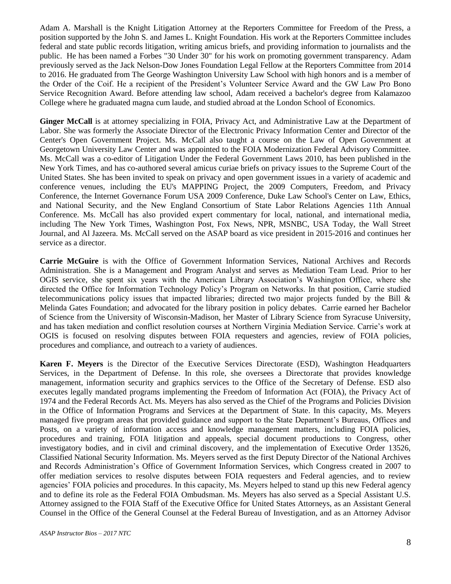Adam A. Marshall is the Knight Litigation Attorney at the Reporters Committee for Freedom of the Press, a position supported by the John S. and James L. Knight Foundation. His work at the Reporters Committee includes federal and state public records litigation, writing amicus briefs, and providing information to journalists and the public. He has been named a Forbes "30 Under 30" for his work on promoting government transparency. Adam previously served as the Jack Nelson-Dow Jones Foundation Legal Fellow at the Reporters Committee from 2014 to 2016. He graduated from The George Washington University Law School with high honors and is a member of the Order of the Coif. He a recipient of the President's Volunteer Service Award and the GW Law Pro Bono Service Recognition Award. Before attending law school, Adam received a bachelor's degree from Kalamazoo College where he graduated magna cum laude, and studied abroad at the London School of Economics.

**Ginger McCall** is at attorney specializing in FOIA, Privacy Act, and Administrative Law at the Department of Labor. She was formerly the Associate Director of the Electronic Privacy Information Center and Director of the Center's Open Government Project. Ms. McCall also taught a course on the Law of Open Government at Georgetown University Law Center and was appointed to the FOIA Modernization Federal Advisory Committee. Ms. McCall was a co-editor of Litigation Under the Federal Government Laws 2010, has been published in the New York Times, and has co-authored several amicus curiae briefs on privacy issues to the Supreme Court of the United States. She has been invited to speak on privacy and open government issues in a variety of academic and conference venues, including the EU's MAPPING Project, the 2009 Computers, Freedom, and Privacy Conference, the Internet Governance Forum USA 2009 Conference, Duke Law School's Center on Law, Ethics, and National Security, and the New England Consortium of State Labor Relations Agencies 11th Annual Conference. Ms. McCall has also provided expert commentary for local, national, and international media, including The New York Times, Washington Post, Fox News, NPR, MSNBC, USA Today, the Wall Street Journal, and Al Jazeera. Ms. McCall served on the ASAP board as vice president in 2015-2016 and continues her service as a director.

**Carrie McGuire** is with the Office of Government Information Services, National Archives and Records Administration. She is a Management and Program Analyst and serves as Mediation Team Lead. Prior to her OGIS service, she spent six years with the American Library Association's Washington Office, where she directed the Office for Information Technology Policy's Program on Networks. In that position, Carrie studied telecommunications policy issues that impacted libraries; directed two major projects funded by the Bill & Melinda Gates Foundation; and advocated for the library position in policy debates. Carrie earned her Bachelor of Science from the University of Wisconsin-Madison, her Master of Library Science from Syracuse University, and has taken mediation and conflict resolution courses at Northern Virginia Mediation Service. Carrie's work at OGIS is focused on resolving disputes between FOIA requesters and agencies, review of FOIA policies, procedures and compliance, and outreach to a variety of audiences.

**Karen F. Meyers** is the Director of the Executive Services Directorate (ESD), Washington Headquarters Services, in the Department of Defense. In this role, she oversees a Directorate that provides knowledge management, information security and graphics services to the Office of the Secretary of Defense. ESD also executes legally mandated programs implementing the Freedom of Information Act (FOIA), the Privacy Act of 1974 and the Federal Records Act. Ms. Meyers has also served as the Chief of the Programs and Policies Division in the Office of Information Programs and Services at the Department of State. In this capacity, Ms. Meyers managed five program areas that provided guidance and support to the State Department's Bureaus, Offices and Posts, on a variety of information access and knowledge management matters, including FOIA policies, procedures and training, FOIA litigation and appeals, special document productions to Congress, other investigatory bodies, and in civil and criminal discovery, and the implementation of Executive Order 13526, Classified National Security Information. Ms. Meyers served as the first Deputy Director of the National Archives and Records Administration's Office of Government Information Services, which Congress created in 2007 to offer mediation services to resolve disputes between FOIA requesters and Federal agencies, and to review agencies' FOIA policies and procedures. In this capacity, Ms. Meyers helped to stand up this new Federal agency and to define its role as the Federal FOIA Ombudsman. Ms. Meyers has also served as a Special Assistant U.S. Attorney assigned to the FOIA Staff of the Executive Office for United States Attorneys, as an Assistant General Counsel in the Office of the General Counsel at the Federal Bureau of Investigation, and as an Attorney Advisor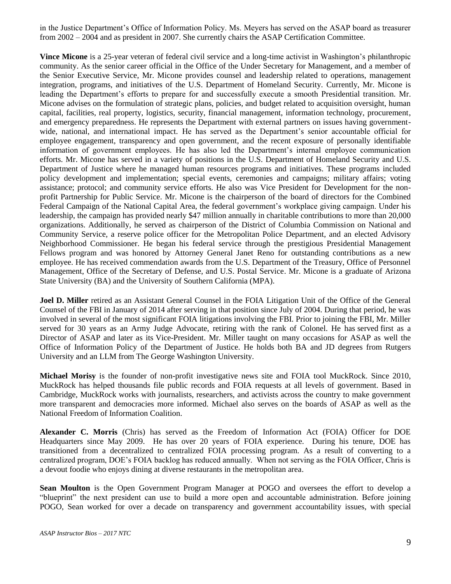in the Justice Department's Office of Information Policy. Ms. Meyers has served on the ASAP board as treasurer from 2002 – 2004 and as president in 2007. She currently chairs the ASAP Certification Committee.

**Vince Micone** is a 25-year veteran of federal civil service and a long-time activist in Washington's philanthropic community. As the senior career official in the Office of the Under Secretary for Management, and a member of the Senior Executive Service, Mr. Micone provides counsel and leadership related to operations, management integration, programs, and initiatives of the U.S. Department of Homeland Security. Currently, Mr. Micone is leading the Department's efforts to prepare for and successfully execute a smooth Presidential transition. Mr. Micone advises on the formulation of strategic plans, policies, and budget related to acquisition oversight, human capital, facilities, real property, logistics, security, financial management, information technology, procurement, and emergency preparedness. He represents the Department with external partners on issues having governmentwide, national, and international impact. He has served as the Department's senior accountable official for employee engagement, transparency and open government, and the recent exposure of personally identifiable information of government employees. He has also led the Department's internal employee communication efforts. Mr. Micone has served in a variety of positions in the U.S. Department of Homeland Security and U.S. Department of Justice where he managed human resources programs and initiatives. These programs included policy development and implementation; special events, ceremonies and campaigns; military affairs; voting assistance; protocol; and community service efforts. He also was Vice President for Development for the nonprofit Partnership for Public Service. Mr. Micone is the chairperson of the board of directors for the Combined Federal Campaign of the National Capital Area, the federal government's workplace giving campaign. Under his leadership, the campaign has provided nearly \$47 million annually in charitable contributions to more than 20,000 organizations. Additionally, he served as chairperson of the District of Columbia Commission on National and Community Service, a reserve police officer for the Metropolitan Police Department, and an elected Advisory Neighborhood Commissioner. He began his federal service through the prestigious Presidential Management Fellows program and was honored by Attorney General Janet Reno for outstanding contributions as a new employee. He has received commendation awards from the U.S. Department of the Treasury, Office of Personnel Management, Office of the Secretary of Defense, and U.S. Postal Service. Mr. Micone is a graduate of Arizona State University (BA) and the University of Southern California (MPA).

**Joel D. Miller** retired as an Assistant General Counsel in the FOIA Litigation Unit of the Office of the General Counsel of the FBI in January of 2014 after serving in that position since July of 2004. During that period, he was involved in several of the most significant FOIA litigations involving the FBI. Prior to joining the FBI, Mr. Miller served for 30 years as an Army Judge Advocate, retiring with the rank of Colonel. He has served first as a Director of ASAP and later as its Vice-President. Mr. Miller taught on many occasions for ASAP as well the Office of Information Policy of the Department of Justice. He holds both BA and JD degrees from Rutgers University and an LLM from The George Washington University.

**Michael Morisy** is the founder of non-profit investigative news site and FOIA tool MuckRock. Since 2010, MuckRock has helped thousands file public records and FOIA requests at all levels of government. Based in Cambridge, MuckRock works with journalists, researchers, and activists across the country to make government more transparent and democracies more informed. Michael also serves on the boards of ASAP as well as the National Freedom of Information Coalition.

**Alexander C. Morris** (Chris) has served as the Freedom of Information Act (FOIA) Officer for DOE Headquarters since May 2009. He has over 20 years of FOIA experience. During his tenure, DOE has transitioned from a decentralized to centralized FOIA processing program. As a result of converting to a centralized program, DOE's FOIA backlog has reduced annually. When not serving as the FOIA Officer, Chris is a devout foodie who enjoys dining at diverse restaurants in the metropolitan area.

**Sean Moulton** is the Open Government Program Manager at POGO and oversees the effort to develop a "blueprint" the next president can use to build a more open and accountable administration. Before joining POGO, Sean worked for over a decade on transparency and government accountability issues, with special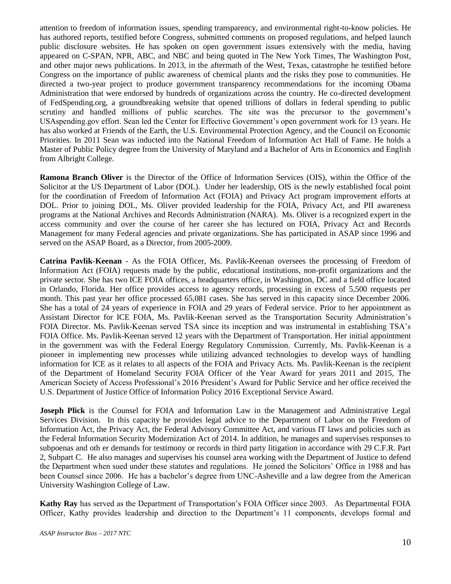attention to freedom of information issues, spending transparency, and environmental right-to-know policies. He has authored reports, testified before Congress, submitted comments on proposed regulations, and helped launch public disclosure websites. He has spoken on open government issues extensively with the media, having appeared on C-SPAN, NPR, ABC, and NBC and being quoted in The New York Times, The Washington Post, and other major news publications. In 2013, in the aftermath of the West, Texas, catastrophe he testified before Congress on the importance of public awareness of chemical plants and the risks they pose to communities. He directed a two-year project to produce government transparency recommendations for the incoming Obama Administration that were endorsed by hundreds of organizations across the country. He co-directed development of FedSpending.org, a groundbreaking website that opened trillions of dollars in federal spending to public scrutiny and handled millions of public searches. The site was the precursor to the government's USAspending.gov effort. Sean led the Center for Effective Government's open government work for 13 years. He has also worked at Friends of the Earth, the U.S. Environmental Protection Agency, and the Council on Economic Priorities. In 2011 Sean was inducted into the National Freedom of Information Act Hall of Fame. He holds a Master of Public Policy degree from the University of Maryland and a Bachelor of Arts in Economics and English from Albright College.

**Ramona Branch Oliver** is the Director of the Office of Information Services (OIS), within the Office of the Solicitor at the US Department of Labor (DOL). Under her leadership, OIS is the newly established focal point for the coordination of Freedom of Information Act (FOIA) and Privacy Act program improvement efforts at DOL. Prior to joining DOL, Ms. Oliver provided leadership for the FOIA, Privacy Act, and PII awareness programs at the National Archives and Records Administration (NARA). Ms. Oliver is a recognized expert in the access community and over the course of her career she has lectured on FOIA, Privacy Act and Records Management for many Federal agencies and private organizations. She has participated in ASAP since 1996 and served on the ASAP Board, as a Director, from 2005-2009.

**Catrina Pavlik-Keenan** - As the FOIA Officer, Ms. Pavlik-Keenan oversees the processing of Freedom of Information Act (FOIA) requests made by the public, educational institutions, non-profit organizations and the private sector. She has two ICE FOIA offices, a headquarters office, in Washington, DC and a field office located in Orlando, Florida. Her office provides access to agency records, processing in excess of 5,500 requests per month. This past year her office processed 65,081 cases. She has served in this capacity since December 2006. She has a total of 24 years of experience in FOIA and 29 years of Federal service. Prior to her appointment as Assistant Director for ICE FOIA, Ms. Pavlik-Keenan served as the Transportation Security Administration's FOIA Director. Ms. Pavlik-Keenan served TSA since its inception and was instrumental in establishing TSA's FOIA Office. Ms. Pavlik-Keenan served 12 years with the Department of Transportation. Her initial appointment in the government was with the Federal Energy Regulatory Commission. Currently, Ms. Pavlik-Keenan is a pioneer in implementing new processes while utilizing advanced technologies to develop ways of handling information for ICE as it relates to all aspects of the FOIA and Privacy Acts. Ms. Pavlik-Keenan is the recipient of the Department of Homeland Security FOIA Officer of the Year Award for years 2011 and 2015, The American Society of Access Professional's 2016 President's Award for Public Service and her office received the U.S. Department of Justice Office of Information Policy 2016 Exceptional Service Award.

**Joseph Plick** is the Counsel for FOIA and Information Law in the Management and Administrative Legal Services Division. In this capacity he provides legal advice to the Department of Labor on the Freedom of Information Act, the Privacy Act, the Federal Advisory Committee Act, and various IT laws and policies such as the Federal Information Security Modernization Act of 2014. In addition, he manages and supervises responses to subpoenas and oth er demands for testimony or records in third party litigation in accordance with 29 C.F.R. Part 2, Subpart C. He also manages and supervises his counsel area working with the Department of Justice to defend the Department when sued under these statutes and regulations. He joined the Solicitors' Office in 1988 and has been Counsel since 2006. He has a bachelor's degree from UNC-Asheville and a law degree from the American University Washington College of Law.

**Kathy Ray** has served as the Department of Transportation's FOIA Officer since 2003. As Departmental FOIA Officer, Kathy provides leadership and direction to the Department's 11 components, develops formal and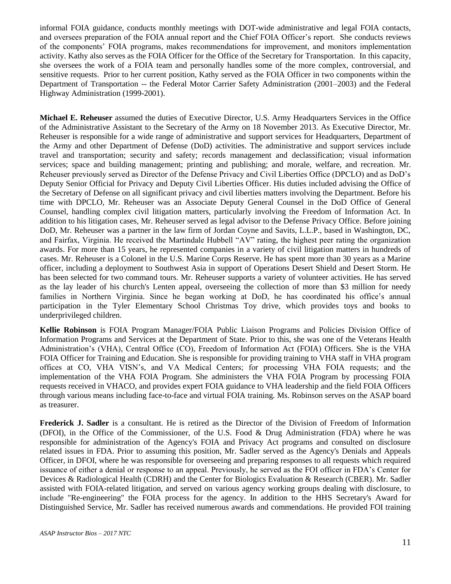informal FOIA guidance, conducts monthly meetings with DOT-wide administrative and legal FOIA contacts, and oversees preparation of the FOIA annual report and the Chief FOIA Officer's report. She conducts reviews of the components' FOIA programs, makes recommendations for improvement, and monitors implementation activity. Kathy also serves as the FOIA Officer for the Office of the Secretary for Transportation. In this capacity, she oversees the work of a FOIA team and personally handles some of the more complex, controversial, and sensitive requests. Prior to her current position, Kathy served as the FOIA Officer in two components within the Department of Transportation -- the Federal Motor Carrier Safety Administration (2001–2003) and the Federal Highway Administration (1999-2001).

**Michael E. Reheuser** assumed the duties of Executive Director, U.S. Army Headquarters Services in the Office of the Administrative Assistant to the Secretary of the Army on 18 November 2013. As Executive Director, Mr. Reheuser is responsible for a wide range of administrative and support services for Headquarters, Department of the Army and other Department of Defense (DoD) activities. The administrative and support services include travel and transportation; security and safety; records management and declassification; visual information services; space and building management; printing and publishing; and morale, welfare, and recreation. Mr. Reheuser previously served as Director of the Defense Privacy and Civil Liberties Office (DPCLO) and as DoD's Deputy Senior Official for Privacy and Deputy Civil Liberties Officer. His duties included advising the Office of the Secretary of Defense on all significant privacy and civil liberties matters involving the Department. Before his time with DPCLO, Mr. Reheuser was an Associate Deputy General Counsel in the DoD Office of General Counsel, handling complex civil litigation matters, particularly involving the Freedom of Information Act. In addition to his litigation cases, Mr. Reheuser served as legal advisor to the Defense Privacy Office. Before joining DoD, Mr. Reheuser was a partner in the law firm of Jordan Coyne and Savits, L.L.P., based in Washington, DC, and Fairfax, Virginia. He received the Martindale Hubbell "AV" rating, the highest peer rating the organization awards. For more than 15 years, he represented companies in a variety of civil litigation matters in hundreds of cases. Mr. Reheuser is a Colonel in the U.S. Marine Corps Reserve. He has spent more than 30 years as a Marine officer, including a deployment to Southwest Asia in support of Operations Desert Shield and Desert Storm. He has been selected for two command tours. Mr. Reheuser supports a variety of volunteer activities. He has served as the lay leader of his church's Lenten appeal, overseeing the collection of more than \$3 million for needy families in Northern Virginia. Since he began working at DoD, he has coordinated his office's annual participation in the Tyler Elementary School Christmas Toy drive, which provides toys and books to underprivileged children.

**Kellie Robinson** is FOIA Program Manager/FOIA Public Liaison Programs and Policies Division Office of Information Programs and Services at the Department of State. Prior to this, she was one of the Veterans Health Administration's (VHA), Central Office (CO), Freedom of Information Act (FOIA) Officers. She is the VHA FOIA Officer for Training and Education. She is responsible for providing training to VHA staff in VHA program offices at CO, VHA VISN's, and VA Medical Centers; for processing VHA FOIA requests; and the implementation of the VHA FOIA Program. She administers the VHA FOIA Program by processing FOIA requests received in VHACO, and provides expert FOIA guidance to VHA leadership and the field FOIA Officers through various means including face-to-face and virtual FOIA training. Ms. Robinson serves on the ASAP board as treasurer.

**Frederick J. Sadler** is a consultant. He is retired as the Director of the Division of Freedom of Information (DFOI), in the Office of the Commissioner, of the U.S. Food & Drug Administration (FDA) where he was responsible for administration of the Agency's FOIA and Privacy Act programs and consulted on disclosure related issues in FDA. Prior to assuming this position, Mr. Sadler served as the Agency's Denials and Appeals Officer, in DFOI, where he was responsible for overseeing and preparing responses to all requests which required issuance of either a denial or response to an appeal. Previously, he served as the FOI officer in FDA's Center for Devices & Radiological Health (CDRH) and the Center for Biologics Evaluation & Research (CBER). Mr. Sadler assisted with FOIA-related litigation, and served on various agency working groups dealing with disclosure, to include "Re-engineering" the FOIA process for the agency. In addition to the HHS Secretary's Award for Distinguished Service, Mr. Sadler has received numerous awards and commendations. He provided FOI training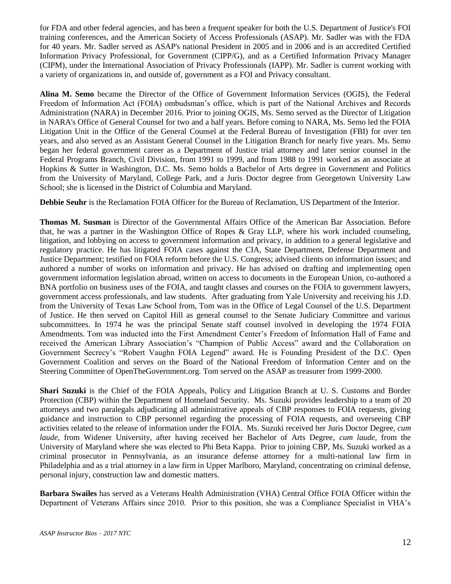for FDA and other federal agencies, and has been a frequent speaker for both the U.S. Department of Justice's FOI training conferences, and the American Society of Access Professionals (ASAP). Mr. Sadler was with the FDA for 40 years. Mr. Sadler served as ASAP's national President in 2005 and in 2006 and is an accredited Certified Information Privacy Professional, for Government (CIPP/G), and as a Certified Information Privacy Manager (CIPM), under the International Association of Privacy Professionals (IAPP). Mr. Sadler is current working with a variety of organizations in, and outside of, government as a FOI and Privacy consultant.

**Alina M. Semo** became the Director of the Office of Government Information Services (OGIS), the Federal Freedom of Information Act (FOIA) ombudsman's office, which is part of the National Archives and Records Administration (NARA) in December 2016. Prior to joining OGIS, Ms. Semo served as the Director of Litigation in NARA's Office of General Counsel for two and a half years. Before coming to NARA, Ms. Semo led the FOIA Litigation Unit in the Office of the General Counsel at the Federal Bureau of Investigation (FBI) for over ten years, and also served as an Assistant General Counsel in the Litigation Branch for nearly five years. Ms. Semo began her federal government career as a Department of Justice trial attorney and later senior counsel in the Federal Programs Branch, Civil Division, from 1991 to 1999, and from 1988 to 1991 worked as an associate at Hopkins & Sutter in Washington, D.C. Ms. Semo holds a Bachelor of Arts degree in Government and Politics from the University of Maryland, College Park, and a Juris Doctor degree from Georgetown University Law School; she is licensed in the District of Columbia and Maryland.

**Debbie Seuhr** is the Reclamation FOIA Officer for the Bureau of Reclamation, US Department of the Interior.

**Thomas M. Susman** is Director of the Governmental Affairs Office of the American Bar Association. Before that, he was a partner in the Washington Office of Ropes & Gray LLP, where his work included counseling, litigation, and lobbying on access to government information and privacy, in addition to a general legislative and regulatory practice. He has litigated FOIA cases against the CIA, State Department, Defense Department and Justice Department; testified on FOIA reform before the U.S. Congress; advised clients on information issues; and authored a number of works on information and privacy. He has advised on drafting and implementing open government information legislation abroad, written on access to documents in the European Union, co-authored a BNA portfolio on business uses of the FOIA, and taught classes and courses on the FOIA to government lawyers, government access professionals, and law students. After graduating from Yale University and receiving his J.D. from the University of Texas Law School from, Tom was in the Office of Legal Counsel of the U.S. Department of Justice. He then served on Capitol Hill as general counsel to the Senate Judiciary Committee and various subcommittees. In 1974 he was the principal Senate staff counsel involved in developing the 1974 FOIA Amendments. Tom was inducted into the First Amendment Center's Freedom of Information Hall of Fame and received the American Library Association's "Champion of Public Access" award and the Collaboration on Government Secrecy's "Robert Vaughn FOIA Legend" award. He is Founding President of the D.C. Open Government Coalition and serves on the Board of the National Freedom of Information Center and on the Steering Committee of OpenTheGovernment.org. Tom served on the ASAP as treasurer from 1999-2000.

**Shari Suzuki** is the Chief of the FOIA Appeals, Policy and Litigation Branch at U. S. Customs and Border Protection (CBP) within the Department of Homeland Security. Ms. Suzuki provides leadership to a team of 20 attorneys and two paralegals adjudicating all administrative appeals of CBP responses to FOIA requests, giving guidance and instruction to CBP personnel regarding the processing of FOIA requests, and overseeing CBP activities related to the release of information under the FOIA. Ms. Suzuki received her Juris Doctor Degree, *cum laude*, from Widener University, after having received her Bachelor of Arts Degree, *cum laude*, from the University of Maryland where she was elected to Phi Beta Kappa. Prior to joining CBP, Ms. Suzuki worked as a criminal prosecutor in Pennsylvania, as an insurance defense attorney for a multi-national law firm in Philadelphia and as a trial attorney in a law firm in Upper Marlboro, Maryland, concentrating on criminal defense, personal injury, construction law and domestic matters.

**Barbara Swailes** has served as a Veterans Health Administration (VHA) Central Office FOIA Officer within the Department of Veterans Affairs since 2010. Prior to this position, she was a Compliance Specialist in VHA's